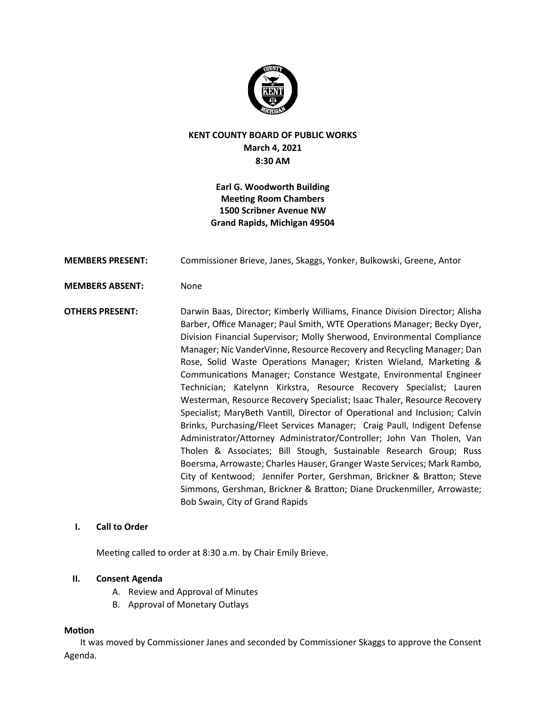

# **KENT COUNTY BOARD OF PUBLIC WORKS March 4, 2021 8:30 AM**

# **Earl G. Woodworth Building Meeting Room Chambers 1500 Scribner Avenue NW Grand Rapids, Michigan 49504**

| <b>MEMBERS PRESENT:</b> | Commissioner Brieve, Janes, Skaggs, Yonker, Bulkowski, Greene, Antor                                                                                                                                                                                                                                                                                                                                                                                                                                                                                                                                                                                                                                                                                                                                                                                                                                                                                                                                                                                                                                                                                                                   |
|-------------------------|----------------------------------------------------------------------------------------------------------------------------------------------------------------------------------------------------------------------------------------------------------------------------------------------------------------------------------------------------------------------------------------------------------------------------------------------------------------------------------------------------------------------------------------------------------------------------------------------------------------------------------------------------------------------------------------------------------------------------------------------------------------------------------------------------------------------------------------------------------------------------------------------------------------------------------------------------------------------------------------------------------------------------------------------------------------------------------------------------------------------------------------------------------------------------------------|
| <b>MEMBERS ABSENT:</b>  | None                                                                                                                                                                                                                                                                                                                                                                                                                                                                                                                                                                                                                                                                                                                                                                                                                                                                                                                                                                                                                                                                                                                                                                                   |
| <b>OTHERS PRESENT:</b>  | Darwin Baas, Director; Kimberly Williams, Finance Division Director; Alisha<br>Barber, Office Manager; Paul Smith, WTE Operations Manager; Becky Dyer,<br>Division Financial Supervisor; Molly Sherwood, Environmental Compliance<br>Manager; Nic VanderVinne, Resource Recovery and Recycling Manager; Dan<br>Rose, Solid Waste Operations Manager; Kristen Wieland, Marketing &<br>Communications Manager; Constance Westgate, Environmental Engineer<br>Technician; Katelynn Kirkstra, Resource Recovery Specialist; Lauren<br>Westerman, Resource Recovery Specialist; Isaac Thaler, Resource Recovery<br>Specialist; MaryBeth Vantill, Director of Operational and Inclusion; Calvin<br>Brinks, Purchasing/Fleet Services Manager; Craig Paull, Indigent Defense<br>Administrator/Attorney Administrator/Controller; John Van Tholen, Van<br>Tholen & Associates; Bill Stough, Sustainable Research Group; Russ<br>Boersma, Arrowaste; Charles Hauser, Granger Waste Services; Mark Rambo,<br>City of Kentwood; Jennifer Porter, Gershman, Brickner & Bratton; Steve<br>Simmons, Gershman, Brickner & Bratton; Diane Druckenmiller, Arrowaste;<br>Bob Swain, City of Grand Rapids |

# **I. Call to Order**

Meeting called to order at 8:30 a.m. by Chair Emily Brieve.

### **II. Consent Agenda**

- A. Review and Approval of Minutes
- B. Approval of Monetary Outlays

#### **Motion**

It was moved by Commissioner Janes and seconded by Commissioner Skaggs to approve the Consent Agenda.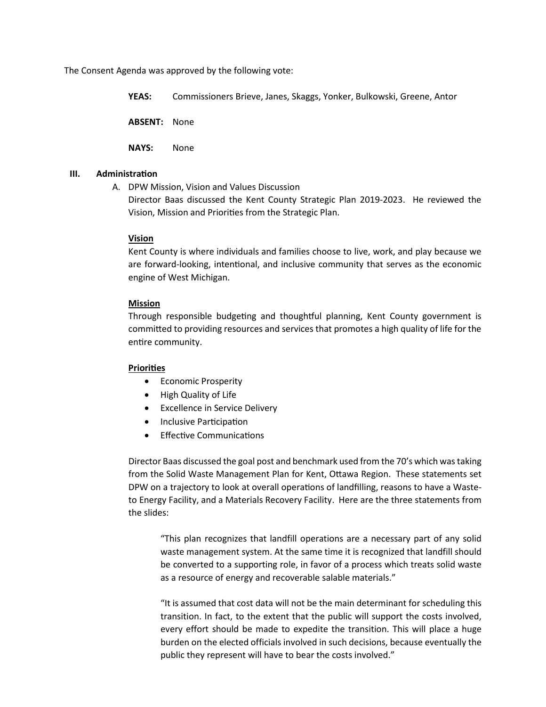The Consent Agenda was approved by the following vote:

**YEAS:** Commissioners Brieve, Janes, Skaggs, Yonker, Bulkowski, Greene, Antor

**ABSENT:** None

**NAYS:** None

#### **III. Administration**

A. DPW Mission, Vision and Values Discussion

Director Baas discussed the Kent County Strategic Plan 2019-2023. He reviewed the Vision, Mission and Priori�es from the Strategic Plan.

#### **Vision**

Kent County is where individuals and families choose to live, work, and play because we are forward-looking, intentional, and inclusive community that serves as the economic engine of West Michigan.

#### **Mission**

Through responsible budgeting and thoughtful planning, Kent County government is commited to providing resources and services that promotes a high quality of life for the entire community.

### **Priori�es**

- Economic Prosperity
- High Quality of Life
- Excellence in Service Delivery
- Inclusive Participation
- Effective Communications

Director Baas discussed the goal post and benchmark used from the 70's which was taking from the Solid Waste Management Plan for Kent, Otawa Region. These statements set DPW on a trajectory to look at overall operations of landfilling, reasons to have a Wasteto Energy Facility, and a Materials Recovery Facility. Here are the three statements from the slides:

"This plan recognizes that landfill operations are a necessary part of any solid waste management system. At the same time it is recognized that landfill should be converted to a supporting role, in favor of a process which treats solid waste as a resource of energy and recoverable salable materials."

"It is assumed that cost data will not be the main determinant for scheduling this transition. In fact, to the extent that the public will support the costs involved, every effort should be made to expedite the transition. This will place a huge burden on the elected officials involved in such decisions, because eventually the public they represent will have to bear the costs involved."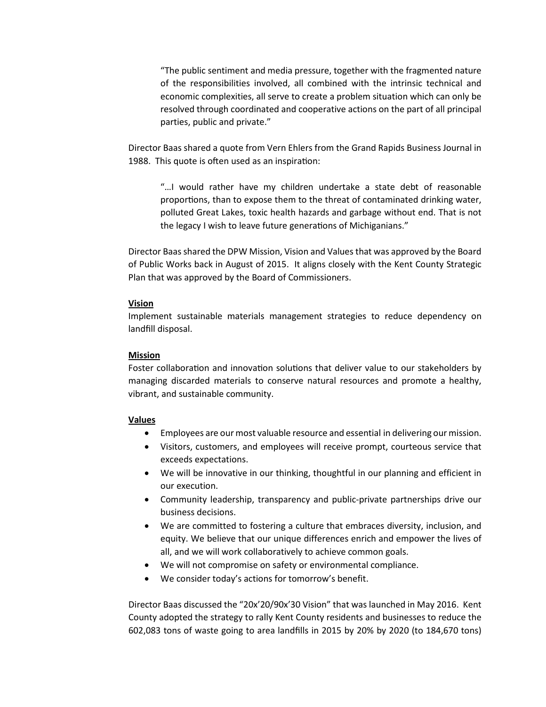"The public sentiment and media pressure, together with the fragmented nature of the responsibilities involved, all combined with the intrinsic technical and economic complexities, all serve to create a problem situation which can only be resolved through coordinated and cooperative actions on the part of all principal parties, public and private."

Director Baas shared a quote from Vern Ehlers from the Grand Rapids Business Journal in 1988. This quote is often used as an inspiration:

"…I would rather have my children undertake a state debt of reasonable proportions, than to expose them to the threat of contaminated drinking water, polluted Great Lakes, toxic health hazards and garbage without end. That is not the legacy I wish to leave future generations of Michiganians."

Director Baas shared the DPW Mission, Vision and Values that was approved by the Board of Public Works back in August of 2015. It aligns closely with the Kent County Strategic Plan that was approved by the Board of Commissioners.

#### **Vision**

Implement sustainable materials management strategies to reduce dependency on landfill disposal.

#### **Mission**

Foster collaboration and innovation solutions that deliver value to our stakeholders by managing discarded materials to conserve natural resources and promote a healthy, vibrant, and sustainable community.

#### **Values**

- Employees are our most valuable resource and essential in delivering our mission.
- Visitors, customers, and employees will receive prompt, courteous service that exceeds expectations.
- We will be innovative in our thinking, thoughtful in our planning and efficient in our execution.
- Community leadership, transparency and public-private partnerships drive our business decisions.
- We are committed to fostering a culture that embraces diversity, inclusion, and equity. We believe that our unique differences enrich and empower the lives of all, and we will work collaboratively to achieve common goals.
- We will not compromise on safety or environmental compliance.
- We consider today's actions for tomorrow's benefit.

Director Baas discussed the "20x'20/90x'30 Vision" that was launched in May 2016. Kent County adopted the strategy to rally Kent County residents and businesses to reduce the 602,083 tons of waste going to area landfills in 2015 by 20% by 2020 (to 184,670 tons)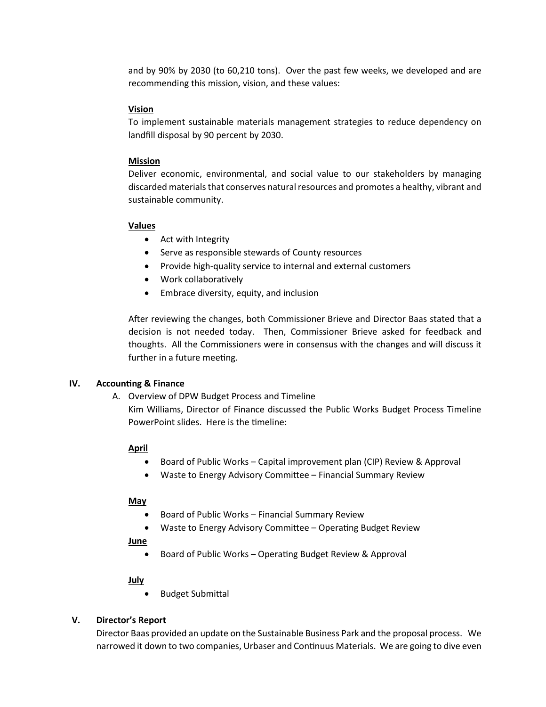and by 90% by 2030 (to 60,210 tons). Over the past few weeks, we developed and are recommending this mission, vision, and these values:

### **Vision**

To implement sustainable materials management strategies to reduce dependency on landfill disposal by 90 percent by 2030.

### **Mission**

Deliver economic, environmental, and social value to our stakeholders by managing discarded materials that conserves natural resources and promotes a healthy, vibrant and sustainable community.

### **Values**

- Act with Integrity
- Serve as responsible stewards of County resources
- Provide high-quality service to internal and external customers
- Work collaboratively
- Embrace diversity, equity, and inclusion

A�er reviewing the changes, both Commissioner Brieve and Director Baas stated that a decision is not needed today. Then, Commissioner Brieve asked for feedback and thoughts. All the Commissioners were in consensus with the changes and will discuss it further in a future meeting.

# **IV.** Accounting & Finance

### A. Overview of DPW Budget Process and Timeline

Kim Williams, Director of Finance discussed the Public Works Budget Process Timeline PowerPoint slides. Here is the timeline:

# **April**

- Board of Public Works Capital improvement plan (CIP) Review & Approval
- Waste to Energy Advisory Commitee Financial Summary Review

### **May**

- Board of Public Works Financial Summary Review
- Waste to Energy Advisory Committee Operating Budget Review

**June**

• Board of Public Works - Operating Budget Review & Approval

### **July**

• Budget Submital

# **V. Director's Report**

Director Baas provided an update on the Sustainable Business Park and the proposal process. We narrowed it down to two companies, Urbaser and Continuus Materials. We are going to dive even